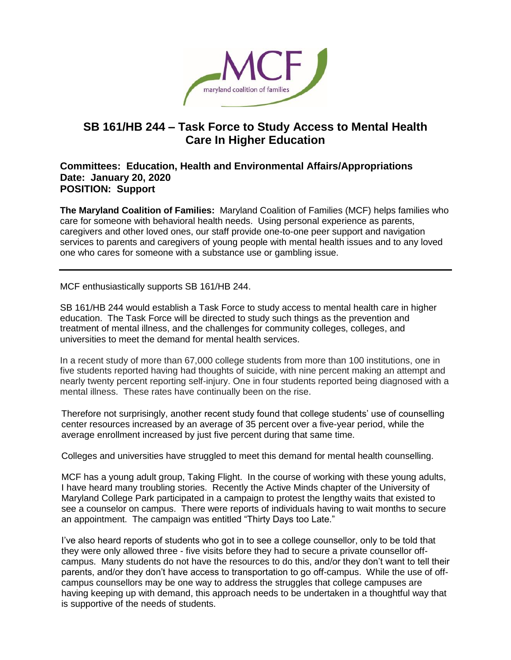

## **SB 161/HB 244 – Task Force to Study Access to Mental Health Care In Higher Education**

## **Committees: Education, Health and Environmental Affairs/Appropriations Date: January 20, 2020 POSITION: Support**

**The Maryland Coalition of Families:** Maryland Coalition of Families (MCF) helps families who care for someone with behavioral health needs. Using personal experience as parents, caregivers and other loved ones, our staff provide one-to-one peer support and navigation services to parents and caregivers of young people with mental health issues and to any loved one who cares for someone with a substance use or gambling issue.

MCF enthusiastically supports SB 161/HB 244.

SB 161/HB 244 would establish a Task Force to study access to mental health care in higher education. The Task Force will be directed to study such things as the prevention and treatment of mental illness, and the challenges for community colleges, colleges, and universities to meet the demand for mental health services.

In a recent study of more than 67,000 college students from more than 100 institutions, one in five students reported having had thoughts of suicide, with nine percent making an attempt and nearly twenty percent reporting self-injury. One in four students reported being diagnosed with a mental illness. These rates have continually been on the rise.

Therefore not surprisingly, another recent study found that college students' use of counselling center resources increased by an average of 35 percent over a five-year period, while the average enrollment increased by just five percent during that same time.

Colleges and universities have struggled to meet this demand for mental health counselling.

MCF has a young adult group, Taking Flight. In the course of working with these young adults, I have heard many troubling stories. Recently the Active Minds chapter of the University of Maryland College Park participated in a campaign to protest the lengthy waits that existed to see a counselor on campus. There were reports of individuals having to wait months to secure an appointment. The campaign was entitled "Thirty Days too Late."

I've also heard reports of students who got in to see a college counsellor, only to be told that they were only allowed three - five visits before they had to secure a private counsellor offcampus. Many students do not have the resources to do this, and/or they don't want to tell their parents, and/or they don't have access to transportation to go off-campus. While the use of offcampus counsellors may be one way to address the struggles that college campuses are having keeping up with demand, this approach needs to be undertaken in a thoughtful way that is supportive of the needs of students.